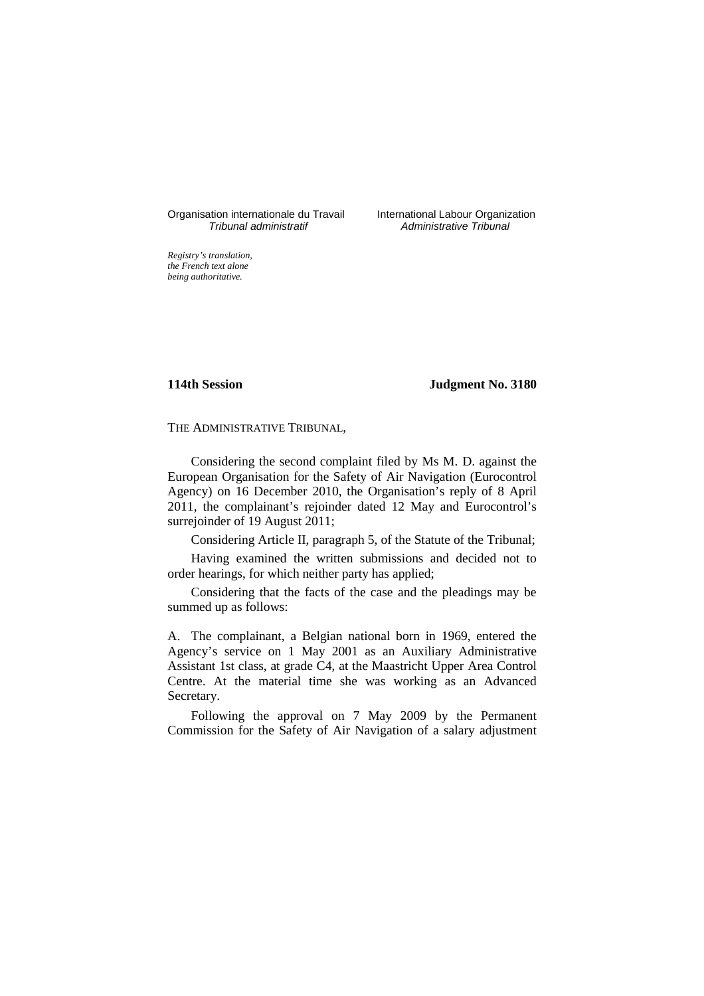# Organisation internationale du Travail International Labour Organization<br>*Tribunal administratif* Administrative Tribunal

Administrative Tribunal

*Registry's translation, the French text alone being authoritative.*

### **114th Session Judgment No. 3180**

THE ADMINISTRATIVE TRIBUNAL,

Considering the second complaint filed by Ms M. D. against the European Organisation for the Safety of Air Navigation (Eurocontrol Agency) on 16 December 2010, the Organisation's reply of 8 April 2011, the complainant's rejoinder dated 12 May and Eurocontrol's surrejoinder of 19 August 2011;

Considering Article II, paragraph 5, of the Statute of the Tribunal;

Having examined the written submissions and decided not to order hearings, for which neither party has applied;

Considering that the facts of the case and the pleadings may be summed up as follows:

A. The complainant, a Belgian national born in 1969, entered the Agency's service on 1 May 2001 as an Auxiliary Administrative Assistant 1st class, at grade C4, at the Maastricht Upper Area Control Centre. At the material time she was working as an Advanced Secretary.

Following the approval on 7 May 2009 by the Permanent Commission for the Safety of Air Navigation of a salary adjustment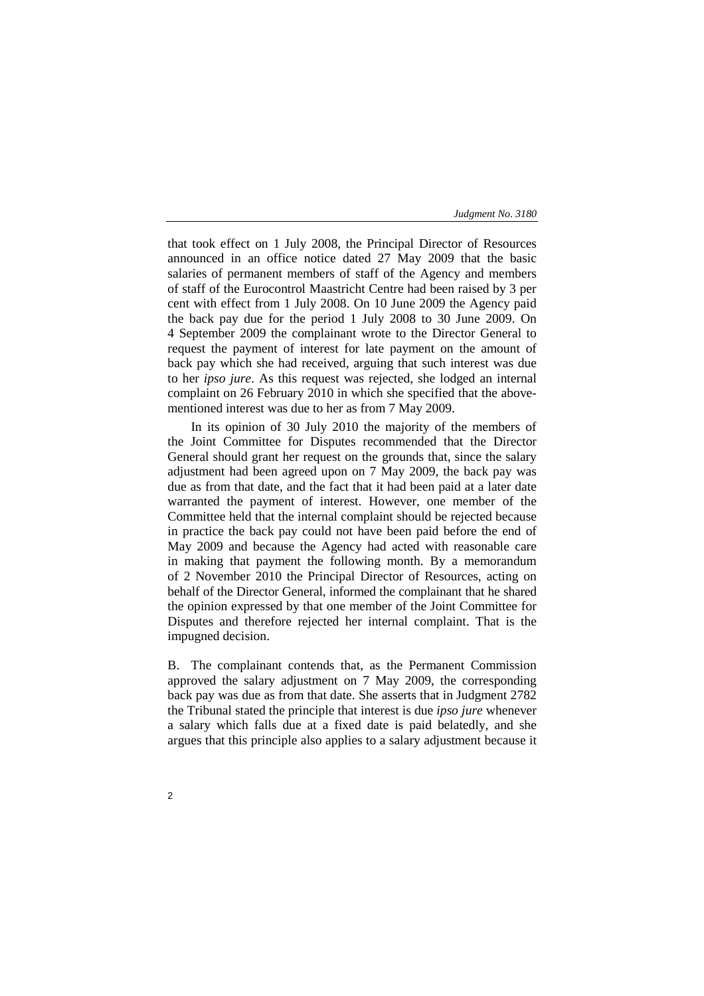that took effect on 1 July 2008, the Principal Director of Resources announced in an office notice dated 27 May 2009 that the basic salaries of permanent members of staff of the Agency and members of staff of the Eurocontrol Maastricht Centre had been raised by 3 per cent with effect from 1 July 2008. On 10 June 2009 the Agency paid the back pay due for the period 1 July 2008 to 30 June 2009. On 4 September 2009 the complainant wrote to the Director General to request the payment of interest for late payment on the amount of back pay which she had received, arguing that such interest was due to her *ipso jure*. As this request was rejected, she lodged an internal complaint on 26 February 2010 in which she specified that the abovementioned interest was due to her as from 7 May 2009.

In its opinion of 30 July 2010 the majority of the members of the Joint Committee for Disputes recommended that the Director General should grant her request on the grounds that, since the salary adjustment had been agreed upon on 7 May 2009, the back pay was due as from that date, and the fact that it had been paid at a later date warranted the payment of interest. However, one member of the Committee held that the internal complaint should be rejected because in practice the back pay could not have been paid before the end of May 2009 and because the Agency had acted with reasonable care in making that payment the following month. By a memorandum of 2 November 2010 the Principal Director of Resources, acting on behalf of the Director General, informed the complainant that he shared the opinion expressed by that one member of the Joint Committee for Disputes and therefore rejected her internal complaint. That is the impugned decision.

B. The complainant contends that, as the Permanent Commission approved the salary adjustment on 7 May 2009, the corresponding back pay was due as from that date. She asserts that in Judgment 2782 the Tribunal stated the principle that interest is due *ipso jure* whenever a salary which falls due at a fixed date is paid belatedly, and she argues that this principle also applies to a salary adjustment because it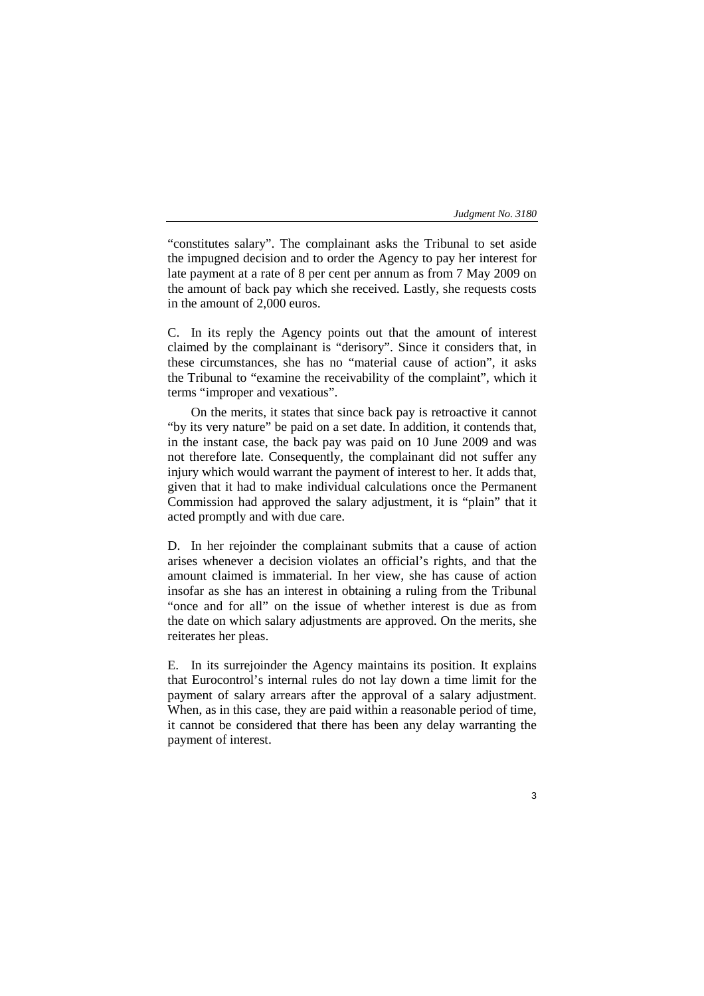"constitutes salary". The complainant asks the Tribunal to set aside the impugned decision and to order the Agency to pay her interest for late payment at a rate of 8 per cent per annum as from 7 May 2009 on the amount of back pay which she received. Lastly, she requests costs in the amount of 2,000 euros.

C. In its reply the Agency points out that the amount of interest claimed by the complainant is "derisory". Since it considers that, in these circumstances, she has no "material cause of action", it asks the Tribunal to "examine the receivability of the complaint", which it terms "improper and vexatious".

On the merits, it states that since back pay is retroactive it cannot "by its very nature" be paid on a set date. In addition, it contends that, in the instant case, the back pay was paid on 10 June 2009 and was not therefore late. Consequently, the complainant did not suffer any injury which would warrant the payment of interest to her. It adds that, given that it had to make individual calculations once the Permanent Commission had approved the salary adjustment, it is "plain" that it acted promptly and with due care.

D. In her rejoinder the complainant submits that a cause of action arises whenever a decision violates an official's rights, and that the amount claimed is immaterial. In her view, she has cause of action insofar as she has an interest in obtaining a ruling from the Tribunal "once and for all" on the issue of whether interest is due as from the date on which salary adjustments are approved. On the merits, she reiterates her pleas.

E. In its surrejoinder the Agency maintains its position. It explains that Eurocontrol's internal rules do not lay down a time limit for the payment of salary arrears after the approval of a salary adjustment. When, as in this case, they are paid within a reasonable period of time, it cannot be considered that there has been any delay warranting the payment of interest.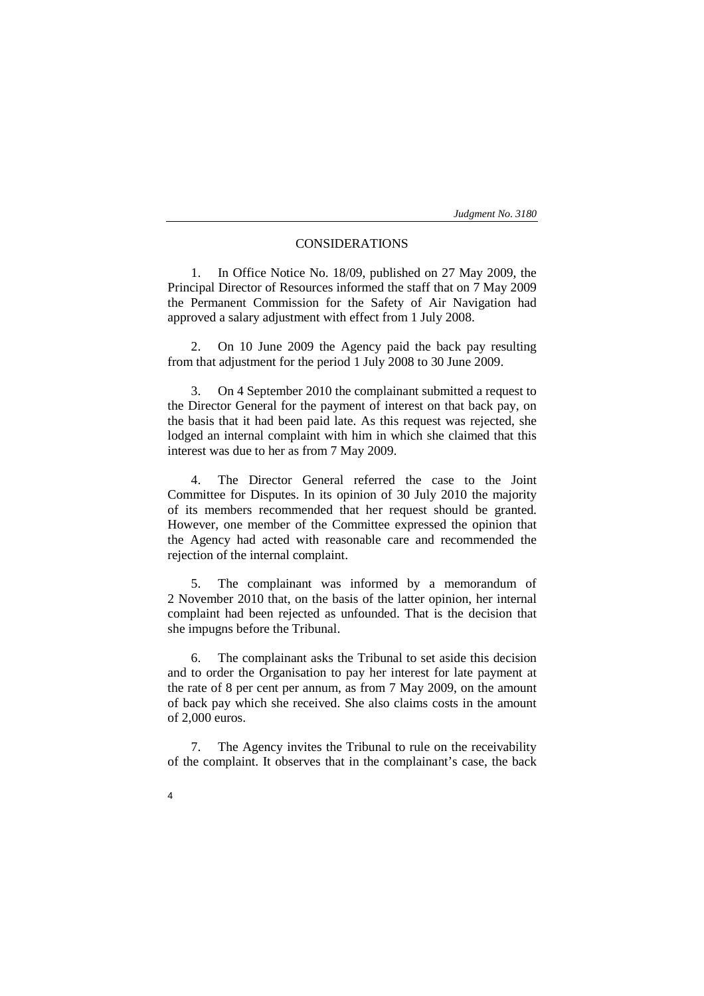# CONSIDERATIONS

1. In Office Notice No. 18/09, published on 27 May 2009, the Principal Director of Resources informed the staff that on 7 May 2009 the Permanent Commission for the Safety of Air Navigation had approved a salary adjustment with effect from 1 July 2008.

2. On 10 June 2009 the Agency paid the back pay resulting from that adjustment for the period 1 July 2008 to 30 June 2009.

3. On 4 September 2010 the complainant submitted a request to the Director General for the payment of interest on that back pay, on the basis that it had been paid late. As this request was rejected, she lodged an internal complaint with him in which she claimed that this interest was due to her as from 7 May 2009.

4. The Director General referred the case to the Joint Committee for Disputes. In its opinion of 30 July 2010 the majority of its members recommended that her request should be granted. However, one member of the Committee expressed the opinion that the Agency had acted with reasonable care and recommended the rejection of the internal complaint.

5. The complainant was informed by a memorandum of 2 November 2010 that, on the basis of the latter opinion, her internal complaint had been rejected as unfounded. That is the decision that she impugns before the Tribunal.

6. The complainant asks the Tribunal to set aside this decision and to order the Organisation to pay her interest for late payment at the rate of 8 per cent per annum, as from 7 May 2009, on the amount of back pay which she received. She also claims costs in the amount of 2,000 euros.

7. The Agency invites the Tribunal to rule on the receivability of the complaint. It observes that in the complainant's case, the back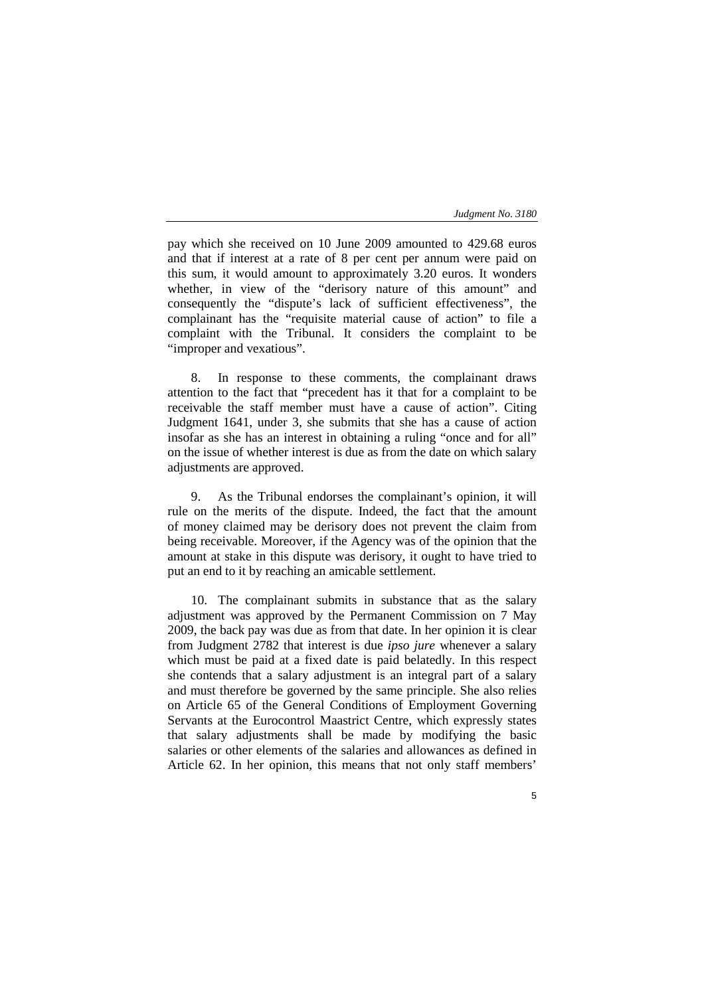pay which she received on 10 June 2009 amounted to 429.68 euros and that if interest at a rate of 8 per cent per annum were paid on this sum, it would amount to approximately 3.20 euros. It wonders whether, in view of the "derisory nature of this amount" and consequently the "dispute's lack of sufficient effectiveness", the complainant has the "requisite material cause of action" to file a complaint with the Tribunal. It considers the complaint to be "improper and vexatious".

8. In response to these comments, the complainant draws attention to the fact that "precedent has it that for a complaint to be receivable the staff member must have a cause of action". Citing Judgment 1641, under 3, she submits that she has a cause of action insofar as she has an interest in obtaining a ruling "once and for all" on the issue of whether interest is due as from the date on which salary adjustments are approved.

9. As the Tribunal endorses the complainant's opinion, it will rule on the merits of the dispute. Indeed, the fact that the amount of money claimed may be derisory does not prevent the claim from being receivable. Moreover, if the Agency was of the opinion that the amount at stake in this dispute was derisory, it ought to have tried to put an end to it by reaching an amicable settlement.

10. The complainant submits in substance that as the salary adjustment was approved by the Permanent Commission on 7 May 2009, the back pay was due as from that date. In her opinion it is clear from Judgment 2782 that interest is due *ipso jure* whenever a salary which must be paid at a fixed date is paid belatedly. In this respect she contends that a salary adjustment is an integral part of a salary and must therefore be governed by the same principle. She also relies on Article 65 of the General Conditions of Employment Governing Servants at the Eurocontrol Maastrict Centre, which expressly states that salary adjustments shall be made by modifying the basic salaries or other elements of the salaries and allowances as defined in Article 62. In her opinion, this means that not only staff members'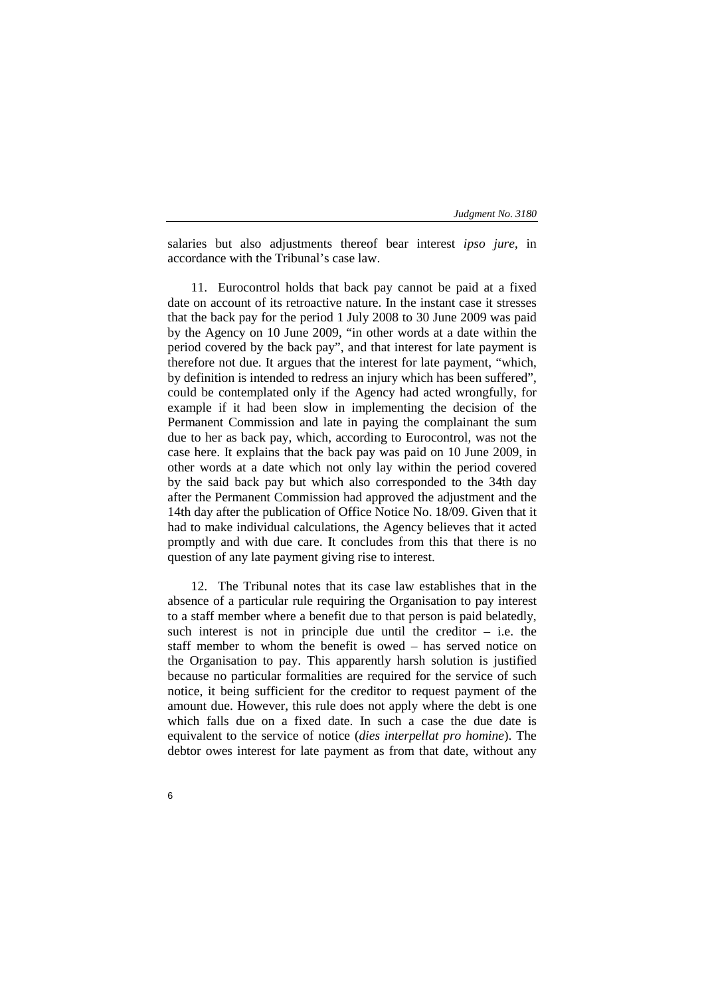salaries but also adjustments thereof bear interest *ipso jure*, in accordance with the Tribunal's case law.

11. Eurocontrol holds that back pay cannot be paid at a fixed date on account of its retroactive nature. In the instant case it stresses that the back pay for the period 1 July 2008 to 30 June 2009 was paid by the Agency on 10 June 2009, "in other words at a date within the period covered by the back pay", and that interest for late payment is therefore not due. It argues that the interest for late payment, "which, by definition is intended to redress an injury which has been suffered", could be contemplated only if the Agency had acted wrongfully, for example if it had been slow in implementing the decision of the Permanent Commission and late in paying the complainant the sum due to her as back pay, which, according to Eurocontrol, was not the case here. It explains that the back pay was paid on 10 June 2009, in other words at a date which not only lay within the period covered by the said back pay but which also corresponded to the 34th day after the Permanent Commission had approved the adjustment and the 14th day after the publication of Office Notice No. 18/09. Given that it had to make individual calculations, the Agency believes that it acted promptly and with due care. It concludes from this that there is no question of any late payment giving rise to interest.

12. The Tribunal notes that its case law establishes that in the absence of a particular rule requiring the Organisation to pay interest to a staff member where a benefit due to that person is paid belatedly, such interest is not in principle due until the creditor – i.e. the staff member to whom the benefit is owed – has served notice on the Organisation to pay. This apparently harsh solution is justified because no particular formalities are required for the service of such notice, it being sufficient for the creditor to request payment of the amount due. However, this rule does not apply where the debt is one which falls due on a fixed date. In such a case the due date is equivalent to the service of notice (*dies interpellat pro homine*). The debtor owes interest for late payment as from that date, without any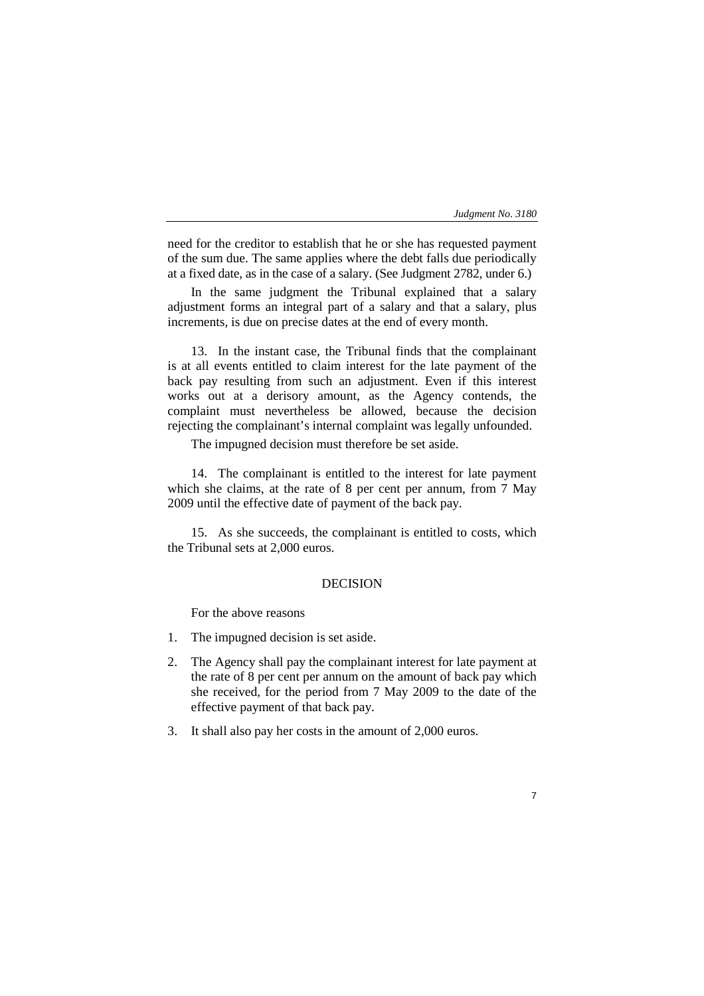7

need for the creditor to establish that he or she has requested payment of the sum due. The same applies where the debt falls due periodically at a fixed date, as in the case of a salary. (See Judgment 2782, under 6.)

In the same judgment the Tribunal explained that a salary adjustment forms an integral part of a salary and that a salary, plus increments, is due on precise dates at the end of every month.

13. In the instant case, the Tribunal finds that the complainant is at all events entitled to claim interest for the late payment of the back pay resulting from such an adjustment. Even if this interest works out at a derisory amount, as the Agency contends, the complaint must nevertheless be allowed, because the decision rejecting the complainant's internal complaint was legally unfounded.

The impugned decision must therefore be set aside.

14. The complainant is entitled to the interest for late payment which she claims, at the rate of 8 per cent per annum, from 7 May 2009 until the effective date of payment of the back pay.

15. As she succeeds, the complainant is entitled to costs, which the Tribunal sets at 2,000 euros.

# DECISION

For the above reasons

- 1. The impugned decision is set aside.
- 2. The Agency shall pay the complainant interest for late payment at the rate of 8 per cent per annum on the amount of back pay which she received, for the period from 7 May 2009 to the date of the effective payment of that back pay.
- 3. It shall also pay her costs in the amount of 2,000 euros.